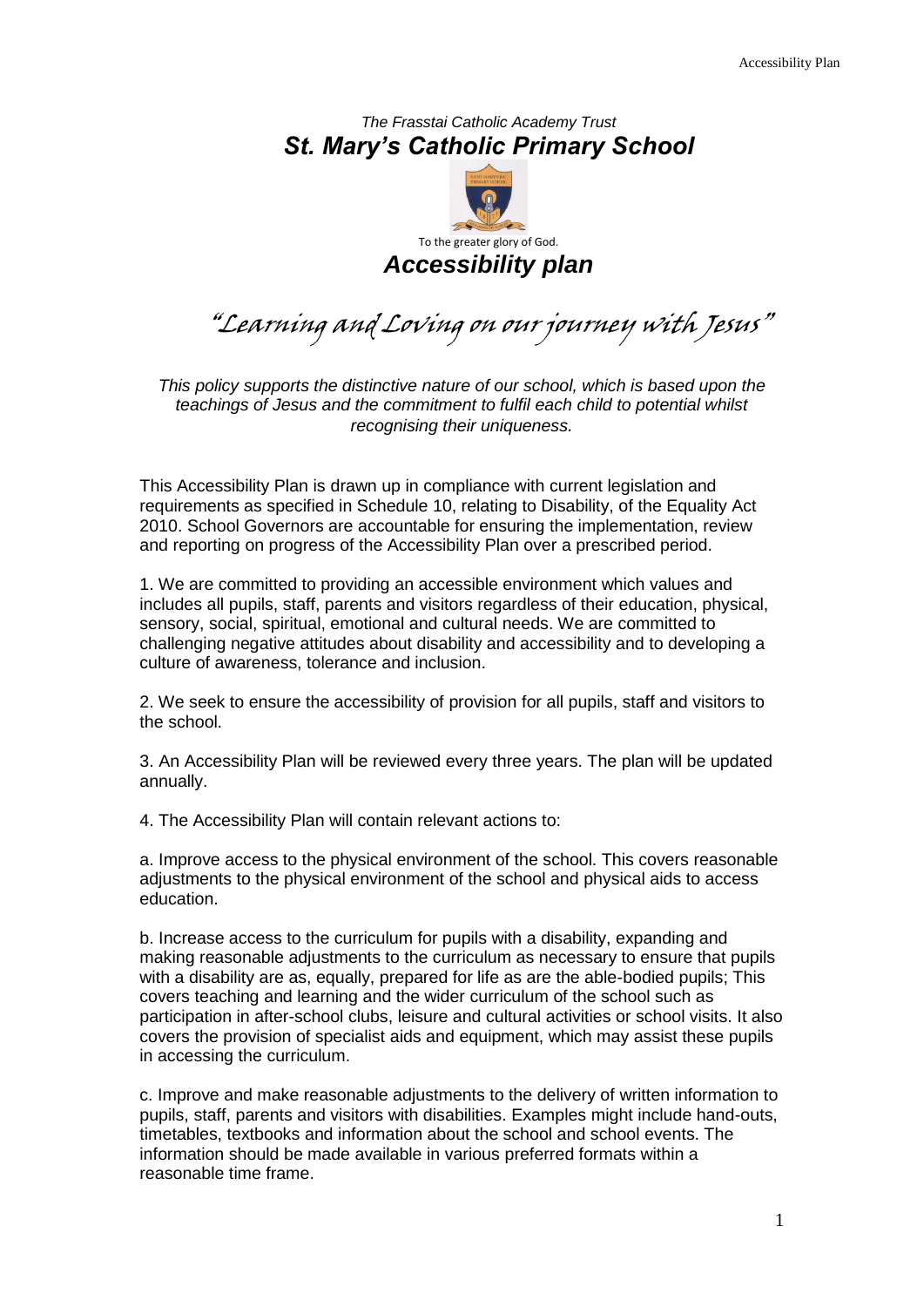## *The Frasstai Catholic Academy Trust St. Mary's Catholic Primary School*



"Learning and Loving on our journey with Jesus"

*This policy supports the distinctive nature of our school, which is based upon the teachings of Jesus and the commitment to fulfil each child to potential whilst recognising their uniqueness.*

This Accessibility Plan is drawn up in compliance with current legislation and requirements as specified in Schedule 10, relating to Disability, of the Equality Act 2010. School Governors are accountable for ensuring the implementation, review and reporting on progress of the Accessibility Plan over a prescribed period.

1. We are committed to providing an accessible environment which values and includes all pupils, staff, parents and visitors regardless of their education, physical, sensory, social, spiritual, emotional and cultural needs. We are committed to challenging negative attitudes about disability and accessibility and to developing a culture of awareness, tolerance and inclusion.

2. We seek to ensure the accessibility of provision for all pupils, staff and visitors to the school.

3. An Accessibility Plan will be reviewed every three years. The plan will be updated annually.

4. The Accessibility Plan will contain relevant actions to:

a. Improve access to the physical environment of the school. This covers reasonable adjustments to the physical environment of the school and physical aids to access education.

b. Increase access to the curriculum for pupils with a disability, expanding and making reasonable adjustments to the curriculum as necessary to ensure that pupils with a disability are as, equally, prepared for life as are the able-bodied pupils; This covers teaching and learning and the wider curriculum of the school such as participation in after-school clubs, leisure and cultural activities or school visits. It also covers the provision of specialist aids and equipment, which may assist these pupils in accessing the curriculum.

c. Improve and make reasonable adjustments to the delivery of written information to pupils, staff, parents and visitors with disabilities. Examples might include hand-outs, timetables, textbooks and information about the school and school events. The information should be made available in various preferred formats within a reasonable time frame.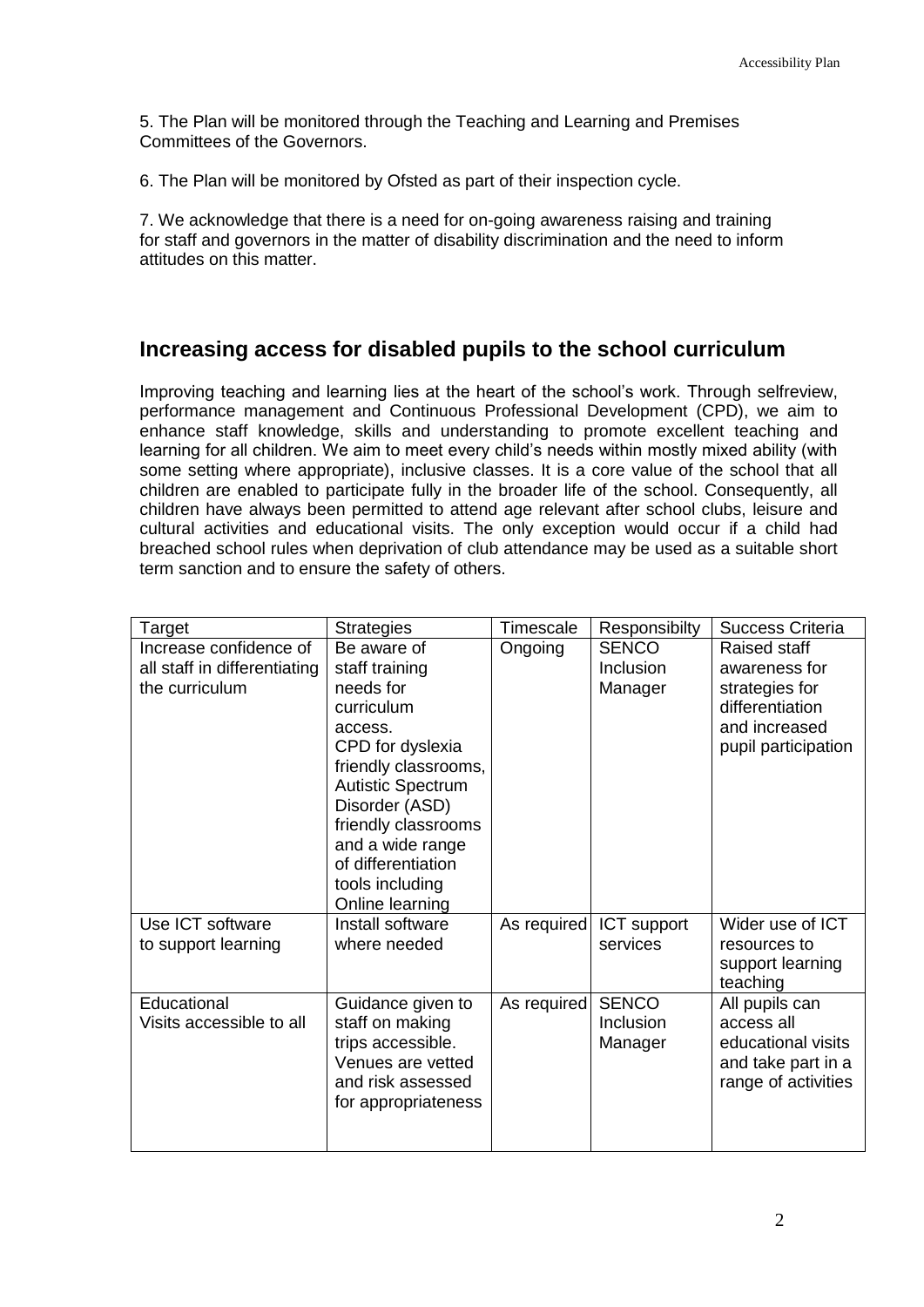5. The Plan will be monitored through the Teaching and Learning and Premises Committees of the Governors.

6. The Plan will be monitored by Ofsted as part of their inspection cycle.

7. We acknowledge that there is a need for on-going awareness raising and training for staff and governors in the matter of disability discrimination and the need to inform attitudes on this matter.

## **Increasing access for disabled pupils to the school curriculum**

Improving teaching and learning lies at the heart of the school's work. Through selfreview, performance management and Continuous Professional Development (CPD), we aim to enhance staff knowledge, skills and understanding to promote excellent teaching and learning for all children. We aim to meet every child's needs within mostly mixed ability (with some setting where appropriate), inclusive classes. It is a core value of the school that all children are enabled to participate fully in the broader life of the school. Consequently, all children have always been permitted to attend age relevant after school clubs, leisure and cultural activities and educational visits. The only exception would occur if a child had breached school rules when deprivation of club attendance may be used as a suitable short term sanction and to ensure the safety of others.

| Target                                  | <b>Strategies</b>                                                                                                                                                                                                                                                                                       | Timescale   | Responsibilty                        | <b>Success Criteria</b>                                                                                     |
|-----------------------------------------|---------------------------------------------------------------------------------------------------------------------------------------------------------------------------------------------------------------------------------------------------------------------------------------------------------|-------------|--------------------------------------|-------------------------------------------------------------------------------------------------------------|
| Increase confidence of                  | Be aware of                                                                                                                                                                                                                                                                                             | Ongoing     | <b>SENCO</b>                         | <b>Raised staff</b>                                                                                         |
| all staff in differentiating            | staff training                                                                                                                                                                                                                                                                                          |             | Inclusion                            | awareness for                                                                                               |
| the curriculum                          | needs for                                                                                                                                                                                                                                                                                               |             | Manager                              | strategies for                                                                                              |
|                                         | curriculum                                                                                                                                                                                                                                                                                              |             |                                      | differentiation                                                                                             |
|                                         | access.                                                                                                                                                                                                                                                                                                 |             |                                      | and increased                                                                                               |
|                                         | CPD for dyslexia                                                                                                                                                                                                                                                                                        |             |                                      | pupil participation                                                                                         |
|                                         |                                                                                                                                                                                                                                                                                                         |             |                                      |                                                                                                             |
|                                         |                                                                                                                                                                                                                                                                                                         |             |                                      |                                                                                                             |
|                                         |                                                                                                                                                                                                                                                                                                         |             |                                      |                                                                                                             |
|                                         |                                                                                                                                                                                                                                                                                                         |             |                                      |                                                                                                             |
|                                         |                                                                                                                                                                                                                                                                                                         |             |                                      |                                                                                                             |
|                                         |                                                                                                                                                                                                                                                                                                         |             |                                      |                                                                                                             |
|                                         |                                                                                                                                                                                                                                                                                                         |             |                                      |                                                                                                             |
| Use ICT software                        | Install software                                                                                                                                                                                                                                                                                        | As required | ICT support                          | Wider use of ICT                                                                                            |
| to support learning                     | where needed                                                                                                                                                                                                                                                                                            |             | services                             | resources to                                                                                                |
|                                         |                                                                                                                                                                                                                                                                                                         |             |                                      | support learning                                                                                            |
|                                         |                                                                                                                                                                                                                                                                                                         |             |                                      |                                                                                                             |
|                                         |                                                                                                                                                                                                                                                                                                         |             |                                      |                                                                                                             |
|                                         |                                                                                                                                                                                                                                                                                                         |             |                                      |                                                                                                             |
|                                         |                                                                                                                                                                                                                                                                                                         |             |                                      |                                                                                                             |
|                                         |                                                                                                                                                                                                                                                                                                         |             |                                      |                                                                                                             |
|                                         |                                                                                                                                                                                                                                                                                                         |             |                                      |                                                                                                             |
|                                         |                                                                                                                                                                                                                                                                                                         |             |                                      |                                                                                                             |
|                                         |                                                                                                                                                                                                                                                                                                         |             |                                      |                                                                                                             |
| Educational<br>Visits accessible to all | friendly classrooms,<br><b>Autistic Spectrum</b><br>Disorder (ASD)<br>friendly classrooms<br>and a wide range<br>of differentiation<br>tools including<br>Online learning<br>Guidance given to<br>staff on making<br>trips accessible.<br>Venues are vetted<br>and risk assessed<br>for appropriateness | As required | <b>SENCO</b><br>Inclusion<br>Manager | teaching<br>All pupils can<br>access all<br>educational visits<br>and take part in a<br>range of activities |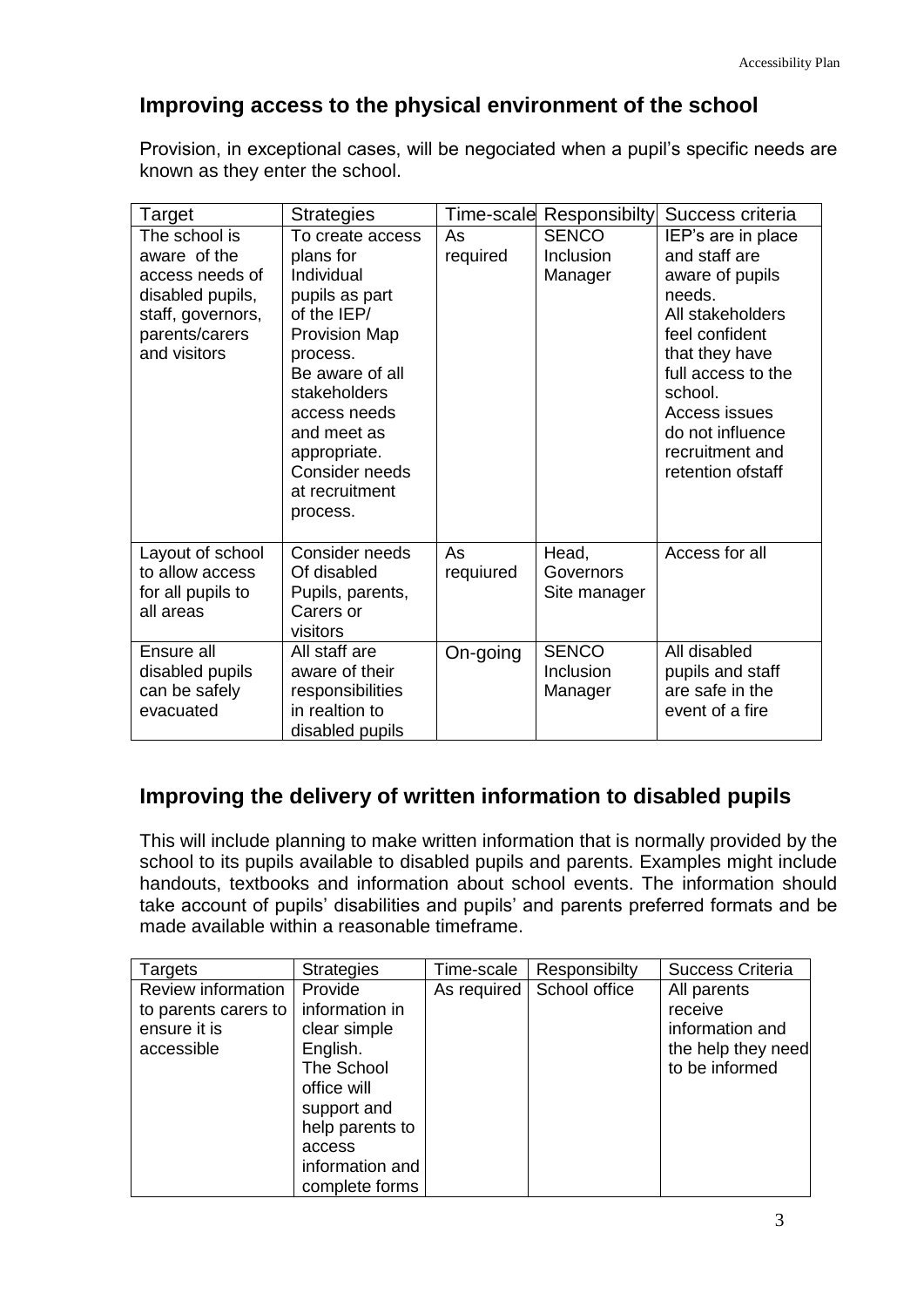## **Improving access to the physical environment of the school**

Provision, in exceptional cases, will be negociated when a pupil's specific needs are known as they enter the school.

| Target                                                                                                                      | <b>Strategies</b>                                                                                                                                                                                                                                  | Time-scale      | <b>Responsibilty</b>                 | Success criteria                                                                                                                                                                                                                        |
|-----------------------------------------------------------------------------------------------------------------------------|----------------------------------------------------------------------------------------------------------------------------------------------------------------------------------------------------------------------------------------------------|-----------------|--------------------------------------|-----------------------------------------------------------------------------------------------------------------------------------------------------------------------------------------------------------------------------------------|
| The school is<br>aware of the<br>access needs of<br>disabled pupils,<br>staff, governors,<br>parents/carers<br>and visitors | To create access<br>plans for<br>Individual<br>pupils as part<br>of the IEP/<br><b>Provision Map</b><br>process.<br>Be aware of all<br>stakeholders<br>access needs<br>and meet as<br>appropriate.<br>Consider needs<br>at recruitment<br>process. | As<br>required  | <b>SENCO</b><br>Inclusion<br>Manager | IEP's are in place<br>and staff are<br>aware of pupils<br>needs.<br>All stakeholders<br>feel confident<br>that they have<br>full access to the<br>school.<br>Access issues<br>do not influence<br>recruitment and<br>retention of staff |
| Layout of school<br>to allow access<br>for all pupils to<br>all areas                                                       | Consider needs<br>Of disabled<br>Pupils, parents,<br>Carers or<br>visitors                                                                                                                                                                         | As<br>requiured | Head,<br>Governors<br>Site manager   | Access for all                                                                                                                                                                                                                          |
| Ensure all<br>disabled pupils<br>can be safely<br>evacuated                                                                 | All staff are<br>aware of their<br>responsibilities<br>in realtion to<br>disabled pupils                                                                                                                                                           | On-going        | <b>SENCO</b><br>Inclusion<br>Manager | All disabled<br>pupils and staff<br>are safe in the<br>event of a fire                                                                                                                                                                  |

## **Improving the delivery of written information to disabled pupils**

This will include planning to make written information that is normally provided by the school to its pupils available to disabled pupils and parents. Examples might include handouts, textbooks and information about school events. The information should take account of pupils' disabilities and pupils' and parents preferred formats and be made available within a reasonable timeframe.

| <b>Targets</b>       | <b>Strategies</b> | Time-scale | Responsibilty               | <b>Success Criteria</b> |
|----------------------|-------------------|------------|-----------------------------|-------------------------|
| Review information   | Provide           |            | As required   School office | All parents             |
| to parents carers to | information in    |            |                             | receive                 |
| ensure it is         | clear simple      |            |                             | information and         |
| accessible           | English.          |            |                             | the help they need      |
|                      | The School        |            |                             | to be informed          |
|                      | office will       |            |                             |                         |
|                      | support and       |            |                             |                         |
|                      | help parents to   |            |                             |                         |
|                      | access            |            |                             |                         |
|                      | information and   |            |                             |                         |
|                      | complete forms    |            |                             |                         |